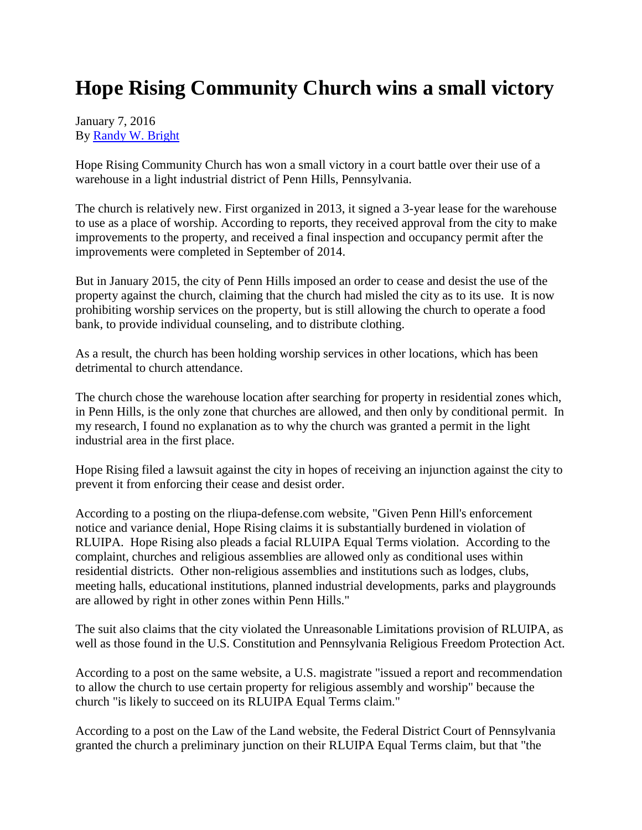## **Hope Rising Community Church wins a small victory**

## January 7, 2016 By [Randy W. Bright](http://www.tulsabeacon.com/author/slug-o6yd1v)

Hope Rising Community Church has won a small victory in a court battle over their use of a warehouse in a light industrial district of Penn Hills, Pennsylvania.

The church is relatively new. First organized in 2013, it signed a 3-year lease for the warehouse to use as a place of worship. According to reports, they received approval from the city to make improvements to the property, and received a final inspection and occupancy permit after the improvements were completed in September of 2014.

But in January 2015, the city of Penn Hills imposed an order to cease and desist the use of the property against the church, claiming that the church had misled the city as to its use. It is now prohibiting worship services on the property, but is still allowing the church to operate a food bank, to provide individual counseling, and to distribute clothing.

As a result, the church has been holding worship services in other locations, which has been detrimental to church attendance.

The church chose the warehouse location after searching for property in residential zones which, in Penn Hills, is the only zone that churches are allowed, and then only by conditional permit. In my research, I found no explanation as to why the church was granted a permit in the light industrial area in the first place.

Hope Rising filed a lawsuit against the city in hopes of receiving an injunction against the city to prevent it from enforcing their cease and desist order.

According to a posting on the rliupa-defense.com website, "Given Penn Hill's enforcement notice and variance denial, Hope Rising claims it is substantially burdened in violation of RLUIPA. Hope Rising also pleads a facial RLUIPA Equal Terms violation. According to the complaint, churches and religious assemblies are allowed only as conditional uses within residential districts. Other non-religious assemblies and institutions such as lodges, clubs, meeting halls, educational institutions, planned industrial developments, parks and playgrounds are allowed by right in other zones within Penn Hills."

The suit also claims that the city violated the Unreasonable Limitations provision of RLUIPA, as well as those found in the U.S. Constitution and Pennsylvania Religious Freedom Protection Act.

According to a post on the same website, a U.S. magistrate "issued a report and recommendation to allow the church to use certain property for religious assembly and worship" because the church "is likely to succeed on its RLUIPA Equal Terms claim."

According to a post on the Law of the Land website, the Federal District Court of Pennsylvania granted the church a preliminary junction on their RLUIPA Equal Terms claim, but that "the